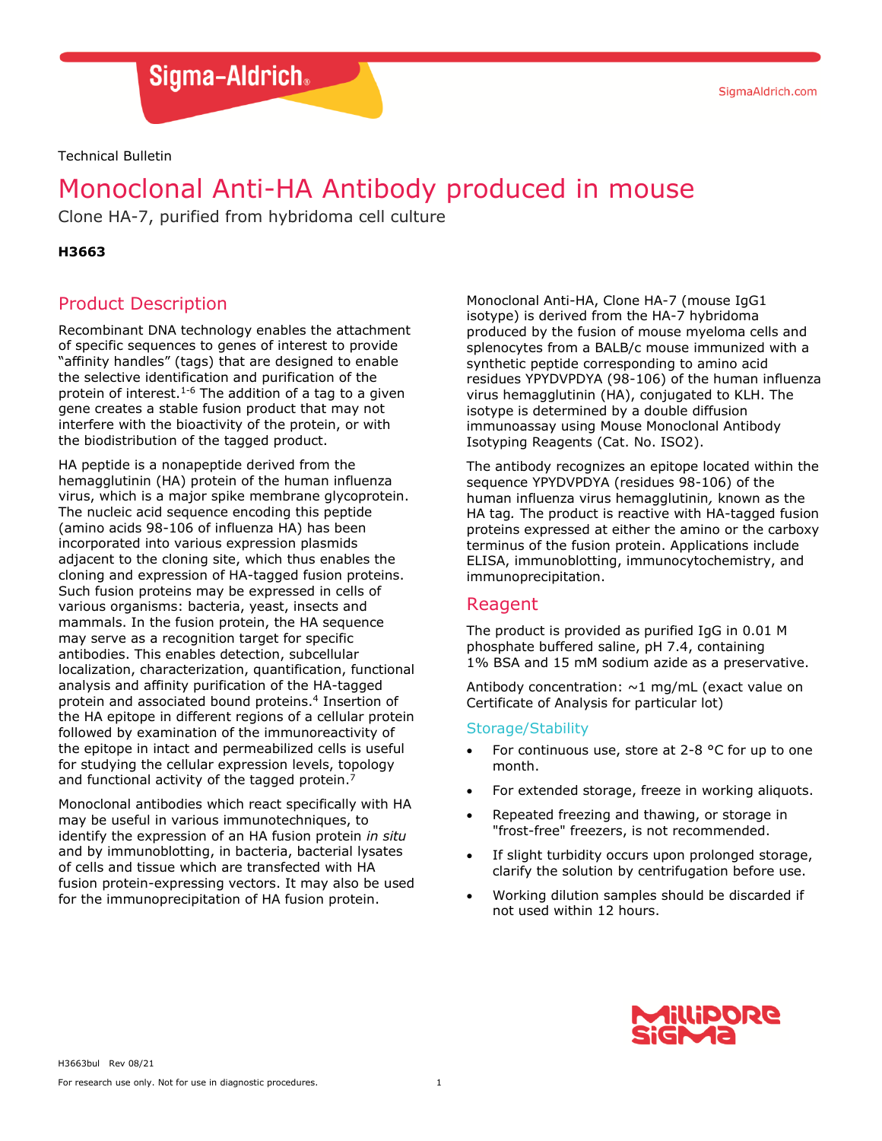Sigma-Aldrich.

Technical Bulletin

# Monoclonal Anti-HA Antibody produced in mouse

Clone HA-7, purified from hybridoma cell culture

#### **H3663**

# Product Description

Recombinant DNA technology enables the attachment of specific sequences to genes of interest to provide "affinity handles" (tags) that are designed to enable the selective identification and purification of the protein of interest.<sup>1-6</sup> The addition of a tag to a given gene creates a stable fusion product that may not interfere with the bioactivity of the protein, or with the biodistribution of the tagged product.

HA peptide is a nonapeptide derived from the hemagglutinin (HA) protein of the human influenza virus, which is a major spike membrane glycoprotein. The nucleic acid sequence encoding this peptide (amino acids 98-106 of influenza HA) has been incorporated into various expression plasmids adjacent to the cloning site, which thus enables the cloning and expression of HA-tagged fusion proteins. Such fusion proteins may be expressed in cells of various organisms: bacteria, yeast, insects and mammals. In the fusion protein, the HA sequence may serve as a recognition target for specific antibodies. This enables detection, subcellular localization, characterization, quantification, functional analysis and affinity purification of the HA-tagged protein and associated bound proteins.<sup>4</sup> Insertion of the HA epitope in different regions of a cellular protein followed by examination of the immunoreactivity of the epitope in intact and permeabilized cells is useful for studying the cellular expression levels, topology and functional activity of the tagged protein.<sup>7</sup>

Monoclonal antibodies which react specifically with HA may be useful in various immunotechniques, to identify the expression of an HA fusion protein *in situ*  and by immunoblotting, in bacteria, bacterial lysates of cells and tissue which are transfected with HA fusion protein-expressing vectors. It may also be used for the immunoprecipitation of HA fusion protein.

Monoclonal Anti-HA, Clone HA-7 (mouse IgG1 isotype) is derived from the HA-7 hybridoma produced by the fusion of mouse myeloma cells and splenocytes from a BALB/c mouse immunized with a synthetic peptide corresponding to amino acid residues YPYDVPDYA (98-106) of the human influenza virus hemagglutinin (HA), conjugated to KLH. The isotype is determined by a double diffusion immunoassay using Mouse Monoclonal Antibody Isotyping Reagents (Cat. No. ISO2).

The antibody recognizes an epitope located within the sequence YPYDVPDYA (residues 98-106) of the human influenza virus hemagglutinin*,* known as the HA tag*.* The product is reactive with HA-tagged fusion proteins expressed at either the amino or the carboxy terminus of the fusion protein. Applications include ELISA, immunoblotting, immunocytochemistry, and immunoprecipitation.

# Reagent

The product is provided as purified IgG in 0.01 M phosphate buffered saline, pH 7.4, containing 1% BSA and 15 mM sodium azide as a preservative.

Antibody concentration:  $\sim$ 1 mg/mL (exact value on Certificate of Analysis for particular lot)

#### Storage/Stability

- For continuous use, store at 2-8  $\degree$ C for up to one month.
- For extended storage, freeze in working aliquots.
- Repeated freezing and thawing, or storage in "frost-free" freezers, is not recommended.
- If slight turbidity occurs upon prolonged storage, clarify the solution by centrifugation before use.
- Working dilution samples should be discarded if not used within 12 hours.

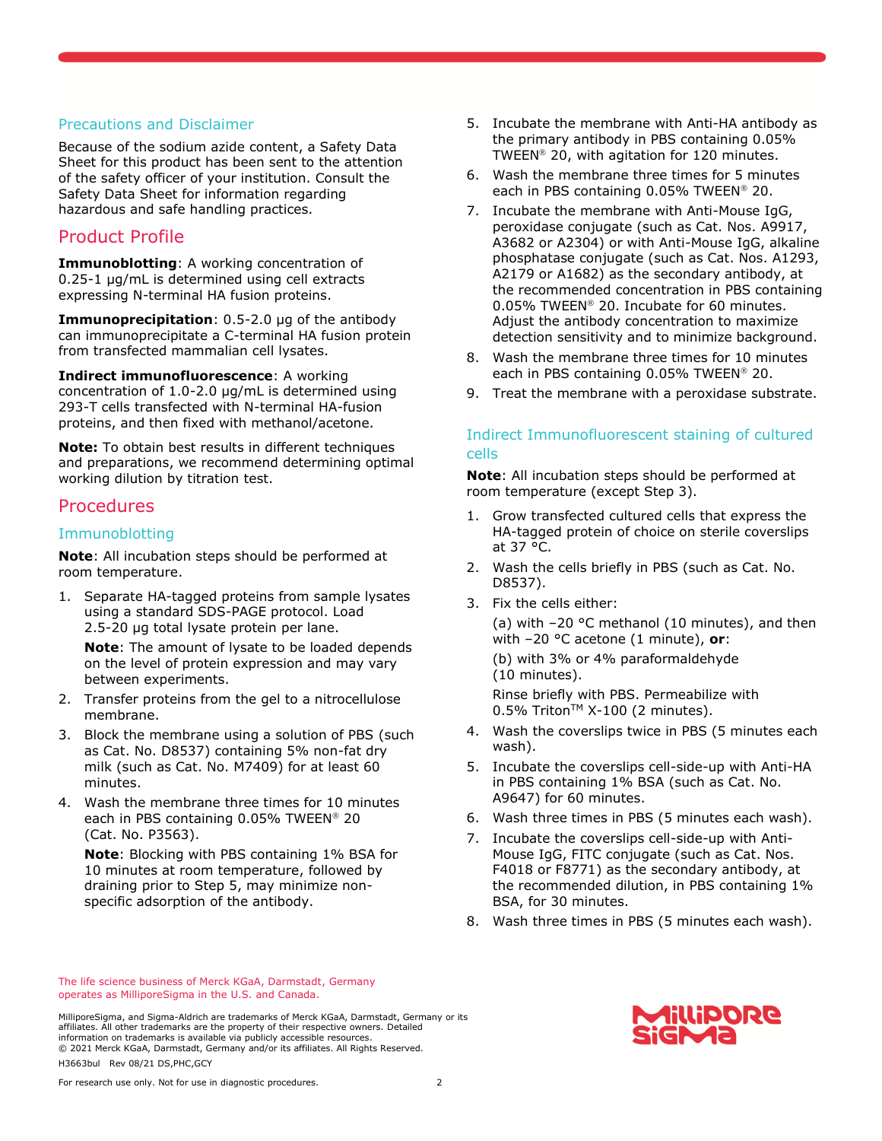#### Precautions and Disclaimer

Because of the sodium azide content, a Safety Data Sheet for this product has been sent to the attention of the safety officer of your institution. Consult the Safety Data Sheet for information regarding hazardous and safe handling practices.

# Product Profile

**Immunoblotting**: A working concentration of 0.25-1 µg/mL is determined using cell extracts expressing N-terminal HA fusion proteins.

**Immunoprecipitation**: 0.5-2.0 µg of the antibody can immunoprecipitate a C-terminal HA fusion protein from transfected mammalian cell lysates.

**Indirect immunofluorescence**: A working concentration of 1.0-2.0 µg/mL is determined using 293-T cells transfected with N-terminal HA-fusion

proteins, and then fixed with methanol/acetone.

**Note:** To obtain best results in different techniques and preparations, we recommend determining optimal working dilution by titration test.

# **Procedures**

#### Immunoblotting

**Note**: All incubation steps should be performed at room temperature.

1. Separate HA-tagged proteins from sample lysates using a standard SDS-PAGE protocol. Load 2.5-20 µg total lysate protein per lane.

**Note**: The amount of lysate to be loaded depends on the level of protein expression and may vary between experiments.

- 2. Transfer proteins from the gel to a nitrocellulose membrane.
- 3. Block the membrane using a solution of PBS (such as Cat. No. D8537) containing 5% non-fat dry milk (such as Cat. No. M7409) for at least 60 minutes.
- 4. Wash the membrane three times for 10 minutes each in PBS containing 0.05% TWEEN® 20 (Cat. No. P3563).

**Note**: Blocking with PBS containing 1% BSA for 10 minutes at room temperature, followed by draining prior to Step 5, may minimize nonspecific adsorption of the antibody.

- 5. Incubate the membrane with Anti-HA antibody as the primary antibody in PBS containing 0.05% TWEEN<sup>®</sup> 20, with agitation for 120 minutes.
- 6. Wash the membrane three times for 5 minutes each in PBS containing 0.05% TWEEN® 20.
- 7. Incubate the membrane with Anti-Mouse IgG, peroxidase conjugate (such as Cat. Nos. A9917, A3682 or A2304) or with Anti-Mouse IgG, alkaline phosphatase conjugate (such as Cat. Nos. A1293, A2179 or A1682) as the secondary antibody, at the recommended concentration in PBS containing 0.05% TWEEN<sup>®</sup> 20. Incubate for 60 minutes. Adjust the antibody concentration to maximize detection sensitivity and to minimize background.
- 8. Wash the membrane three times for 10 minutes each in PBS containing 0.05% TWEEN® 20.
- 9. Treat the membrane with a peroxidase substrate.

## Indirect Immunofluorescent staining of cultured cells

**Note**: All incubation steps should be performed at room temperature (except Step 3).

- 1. Grow transfected cultured cells that express the HA-tagged protein of choice on sterile coverslips at 37 °C.
- 2. Wash the cells briefly in PBS (such as Cat. No. D8537).
- 3. Fix the cells either:

(a) with –20 °C methanol (10 minutes), and then with –20 °C acetone (1 minute), **or**:

(b) with 3% or 4% paraformaldehyde (10 minutes).

Rinse briefly with PBS. Permeabilize with  $0.5\%$  Triton<sup>TM</sup> X-100 (2 minutes).

- 4. Wash the coverslips twice in PBS (5 minutes each wash).
- 5. Incubate the coverslips cell-side-up with Anti-HA in PBS containing 1% BSA (such as Cat. No. A9647) for 60 minutes.
- 6. Wash three times in PBS (5 minutes each wash).
- 7. Incubate the coverslips cell-side-up with Anti-Mouse IgG, FITC conjugate (such as Cat. Nos. F4018 or F8771) as the secondary antibody, at the recommended dilution, in PBS containing 1% BSA, for 30 minutes.
- 8. Wash three times in PBS (5 minutes each wash).

The life science business of Merck KGaA, Darmstadt, Germany operates as MilliporeSigma in the U.S. and Canada.

MilliporeSigma, and Sigma-Aldrich are trademarks of Merck KGaA, Darmstadt, Germany or its affiliates. All other trademarks are the property of their respective owners. Detailed information on trademarks is available via publicly accessible resources. © 2021 Merck KGaA, Darmstadt, Germany and/or its affiliates. All Rights Reserved. H3663bul Rev 08/21 DS,PHC,GCY